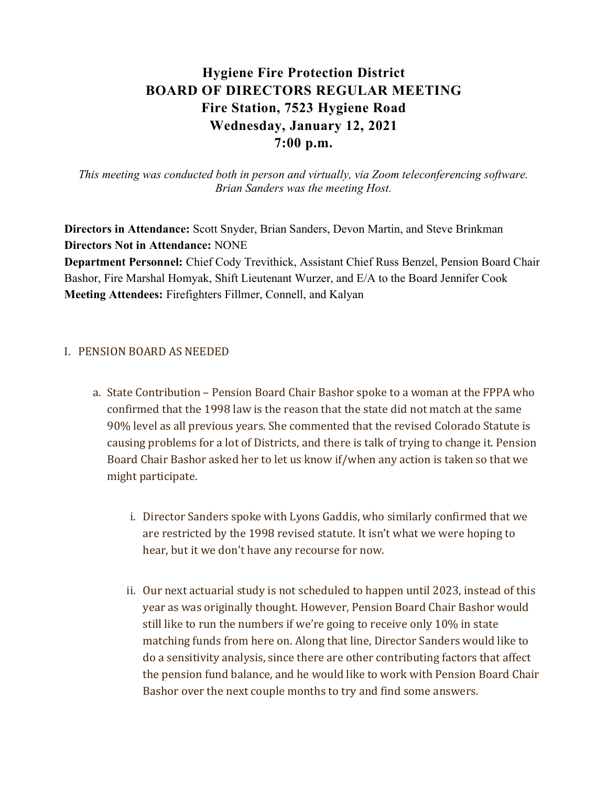# Hygiene Fire Protection District BOARD OF DIRECTORS REGULAR MEETING Fire Station, 7523 Hygiene Road Wednesday, January 12, 2021 7:00 p.m.

This meeting was conducted both in person and virtually, via Zoom teleconferencing software. Brian Sanders was the meeting Host.

Directors in Attendance: Scott Snyder, Brian Sanders, Devon Martin, and Steve Brinkman Directors Not in Attendance: NONE Department Personnel: Chief Cody Trevithick, Assistant Chief Russ Benzel, Pension Board Chair Bashor, Fire Marshal Homyak, Shift Lieutenant Wurzer, and E/A to the Board Jennifer Cook Meeting Attendees: Firefighters Fillmer, Connell, and Kalyan

#### I. PENSION BOARD AS NEEDED

- a. State Contribution Pension Board Chair Bashor spoke to a woman at the FPPA who confirmed that the 1998 law is the reason that the state did not match at the same 90% level as all previous years. She commented that the revised Colorado Statute is causing problems for a lot of Districts, and there is talk of trying to change it. Pension Board Chair Bashor asked her to let us know if/when any action is taken so that we might participate.
	- i. Director Sanders spoke with Lyons Gaddis, who similarly confirmed that we are restricted by the 1998 revised statute. It isn't what we were hoping to hear, but it we don't have any recourse for now.
	- ii. Our next actuarial study is not scheduled to happen until 2023, instead of this year as was originally thought. However, Pension Board Chair Bashor would still like to run the numbers if we're going to receive only 10% in state matching funds from here on. Along that line, Director Sanders would like to do a sensitivity analysis, since there are other contributing factors that affect the pension fund balance, and he would like to work with Pension Board Chair Bashor over the next couple months to try and find some answers.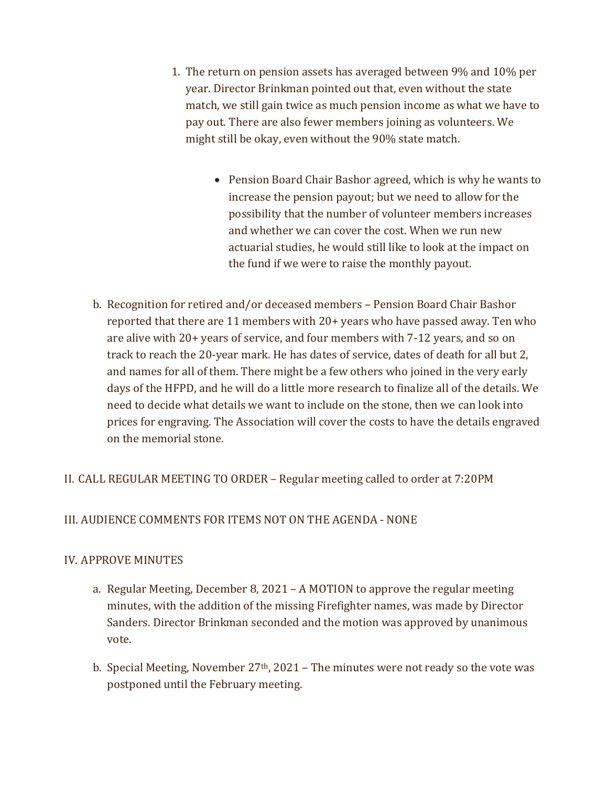- 1. The return on pension assets has averaged between 9% and 10% per year. Director Brinkman pointed out that, even without the state match, we still gain twice as much pension income as what we have to pay out. There are also fewer members joining as volunteers. We might still be okay, even without the 90% state match.
	- Pension Board Chair Bashor agreed, which is why he wants to increase the pension payout; but we need to allow for the possibility that the number of volunteer members increases and whether we can cover the cost. When we run new actuarial studies, he would still like to look at the impact on the fund if we were to raise the monthly payout.
- b. Recognition for retired and/or deceased members Pension Board Chair Bashor reported that there are 11 members with 20+ years who have passed away. Ten who are alive with 20+ years of service, and four members with 7-12 years, and so on track to reach the 20-year mark. He has dates of service, dates of death for all but 2, and names for all of them. There might be a few others who joined in the very early days of the HFPD, and he will do a little more research to finalize all of the details. We need to decide what details we want to include on the stone, then we can look into prices for engraving. The Association will cover the costs to have the details engraved on the memorial stone.

# II. CALL REGULAR MEETING TO ORDER – Regular meeting called to order at 7:20PM

# III. AUDIENCE COMMENTS FOR ITEMS NOT ON THE AGENDA - NONE

# IV. APPROVE MINUTES

- a. Regular Meeting, December 8, 2021 A MOTION to approve the regular meeting minutes, with the addition of the missing Firefighter names, was made by Director Sanders. Director Brinkman seconded and the motion was approved by unanimous vote.
- b. Special Meeting, November  $27<sup>th</sup>$ , 2021 The minutes were not ready so the vote was postponed until the February meeting.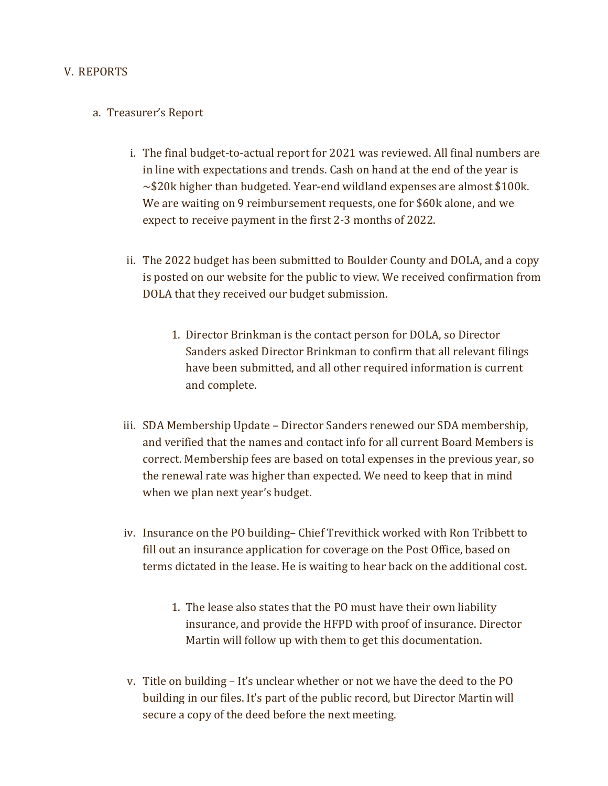#### V. REPORTS

#### a. Treasurer's Report

- i. The final budget-to-actual report for 2021 was reviewed. All final numbers are in line with expectations and trends. Cash on hand at the end of the year is  $\sim$ \$20k higher than budgeted. Year-end wildland expenses are almost \$100k. We are waiting on 9 reimbursement requests, one for \$60k alone, and we expect to receive payment in the first 2-3 months of 2022.
- ii. The 2022 budget has been submitted to Boulder County and DOLA, and a copy is posted on our website for the public to view. We received confirmation from DOLA that they received our budget submission.
	- 1. Director Brinkman is the contact person for DOLA, so Director Sanders asked Director Brinkman to confirm that all relevant filings have been submitted, and all other required information is current and complete.
- iii. SDA Membership Update Director Sanders renewed our SDA membership, and verified that the names and contact info for all current Board Members is correct. Membership fees are based on total expenses in the previous year, so the renewal rate was higher than expected. We need to keep that in mind when we plan next year's budget.
- iv. Insurance on the PO building– Chief Trevithick worked with Ron Tribbett to fill out an insurance application for coverage on the Post Office, based on terms dictated in the lease. He is waiting to hear back on the additional cost.
	- 1. The lease also states that the PO must have their own liability insurance, and provide the HFPD with proof of insurance. Director Martin will follow up with them to get this documentation.
- v. Title on building It's unclear whether or not we have the deed to the PO building in our files. It's part of the public record, but Director Martin will secure a copy of the deed before the next meeting.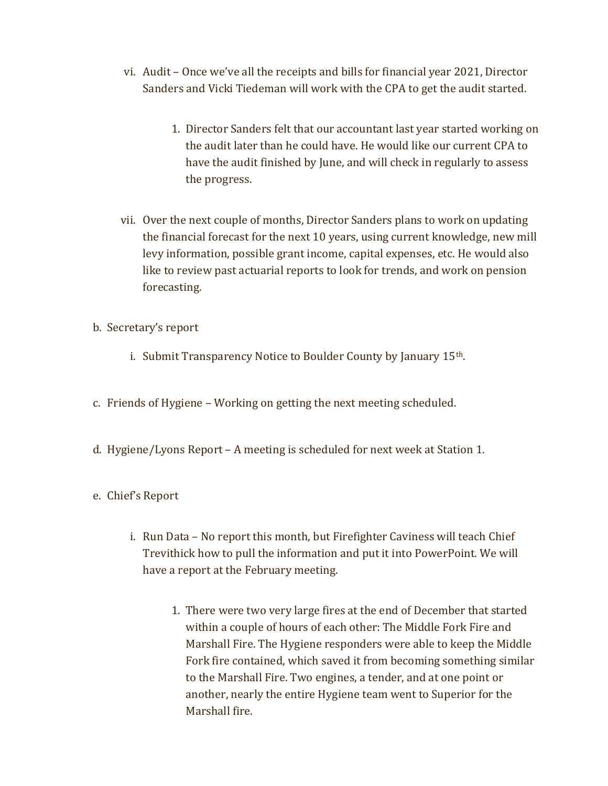- vi. Audit Once we've all the receipts and bills for financial year 2021, Director Sanders and Vicki Tiedeman will work with the CPA to get the audit started.
	- 1. Director Sanders felt that our accountant last year started working on the audit later than he could have. He would like our current CPA to have the audit finished by June, and will check in regularly to assess the progress.
- vii. Over the next couple of months, Director Sanders plans to work on updating the financial forecast for the next 10 years, using current knowledge, new mill levy information, possible grant income, capital expenses, etc. He would also like to review past actuarial reports to look for trends, and work on pension forecasting.
- b. Secretary's report
	- i. Submit Transparency Notice to Boulder County by January 15th.
- c. Friends of Hygiene Working on getting the next meeting scheduled.
- d. Hygiene/Lyons Report A meeting is scheduled for next week at Station 1.
- e. Chief's Report
	- i. Run Data No report this month, but Firefighter Caviness will teach Chief Trevithick how to pull the information and put it into PowerPoint. We will have a report at the February meeting.
		- 1. There were two very large fires at the end of December that started within a couple of hours of each other: The Middle Fork Fire and Marshall Fire. The Hygiene responders were able to keep the Middle Fork fire contained, which saved it from becoming something similar to the Marshall Fire. Two engines, a tender, and at one point or another, nearly the entire Hygiene team went to Superior for the Marshall fire.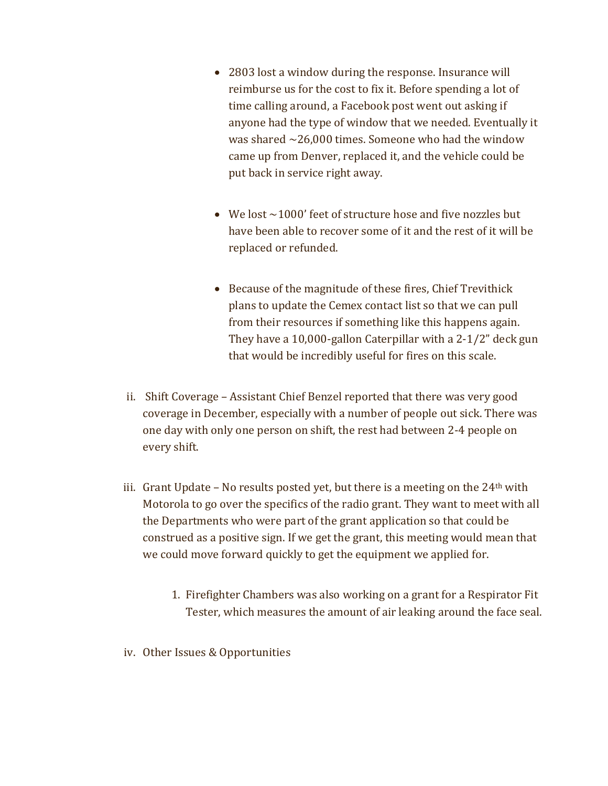- 2803 lost a window during the response. Insurance will reimburse us for the cost to fix it. Before spending a lot of time calling around, a Facebook post went out asking if anyone had the type of window that we needed. Eventually it was shared  $\sim$ 26,000 times. Someone who had the window came up from Denver, replaced it, and the vehicle could be put back in service right away.
- We lost  $\sim$  1000' feet of structure hose and five nozzles but have been able to recover some of it and the rest of it will be replaced or refunded.
- Because of the magnitude of these fires, Chief Trevithick plans to update the Cemex contact list so that we can pull from their resources if something like this happens again. They have a 10,000-gallon Caterpillar with a 2-1/2" deck gun that would be incredibly useful for fires on this scale.
- ii. Shift Coverage Assistant Chief Benzel reported that there was very good coverage in December, especially with a number of people out sick. There was one day with only one person on shift, the rest had between 2-4 people on every shift.
- iii. Grant Update No results posted yet, but there is a meeting on the  $24<sup>th</sup>$  with Motorola to go over the specifics of the radio grant. They want to meet with all the Departments who were part of the grant application so that could be construed as a positive sign. If we get the grant, this meeting would mean that we could move forward quickly to get the equipment we applied for.
	- 1. Firefighter Chambers was also working on a grant for a Respirator Fit Tester, which measures the amount of air leaking around the face seal.
- iv. Other Issues & Opportunities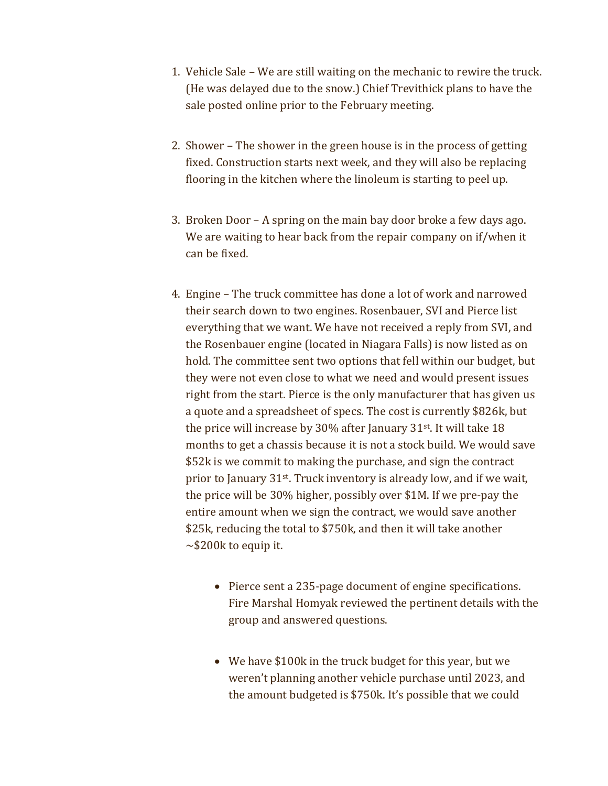- 1. Vehicle Sale We are still waiting on the mechanic to rewire the truck. (He was delayed due to the snow.) Chief Trevithick plans to have the sale posted online prior to the February meeting.
- 2. Shower The shower in the green house is in the process of getting fixed. Construction starts next week, and they will also be replacing flooring in the kitchen where the linoleum is starting to peel up.
- 3. Broken Door A spring on the main bay door broke a few days ago. We are waiting to hear back from the repair company on if/when it can be fixed.
- 4. Engine The truck committee has done a lot of work and narrowed their search down to two engines. Rosenbauer, SVI and Pierce list everything that we want. We have not received a reply from SVI, and the Rosenbauer engine (located in Niagara Falls) is now listed as on hold. The committee sent two options that fell within our budget, but they were not even close to what we need and would present issues right from the start. Pierce is the only manufacturer that has given us a quote and a spreadsheet of specs. The cost is currently \$826k, but the price will increase by 30% after January 31st. It will take 18 months to get a chassis because it is not a stock build. We would save \$52k is we commit to making the purchase, and sign the contract prior to January 31st. Truck inventory is already low, and if we wait, the price will be 30% higher, possibly over \$1M. If we pre-pay the entire amount when we sign the contract, we would save another \$25k, reducing the total to \$750k, and then it will take another  $\sim$ \$200k to equip it.
	- Pierce sent a 235-page document of engine specifications. Fire Marshal Homyak reviewed the pertinent details with the group and answered questions.
	- We have \$100k in the truck budget for this year, but we weren't planning another vehicle purchase until 2023, and the amount budgeted is \$750k. It's possible that we could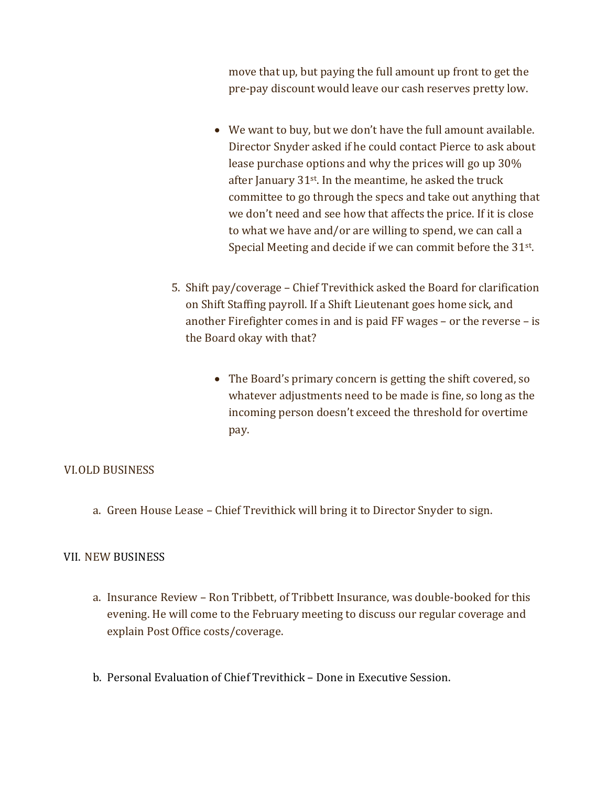move that up, but paying the full amount up front to get the pre-pay discount would leave our cash reserves pretty low.

- We want to buy, but we don't have the full amount available. Director Snyder asked if he could contact Pierce to ask about lease purchase options and why the prices will go up 30% after January 31st. In the meantime, he asked the truck committee to go through the specs and take out anything that we don't need and see how that affects the price. If it is close to what we have and/or are willing to spend, we can call a Special Meeting and decide if we can commit before the 31<sup>st</sup>.
- 5. Shift pay/coverage Chief Trevithick asked the Board for clarification on Shift Staffing payroll. If a Shift Lieutenant goes home sick, and another Firefighter comes in and is paid FF wages – or the reverse – is the Board okay with that?
	- The Board's primary concern is getting the shift covered, so whatever adjustments need to be made is fine, so long as the incoming person doesn't exceed the threshold for overtime pay.

# VI.OLD BUSINESS

a. Green House Lease – Chief Trevithick will bring it to Director Snyder to sign.

# VII. NEW BUSINESS

- a. Insurance Review Ron Tribbett, of Tribbett Insurance, was double-booked for this evening. He will come to the February meeting to discuss our regular coverage and explain Post Office costs/coverage.
- b. Personal Evaluation of Chief Trevithick Done in Executive Session.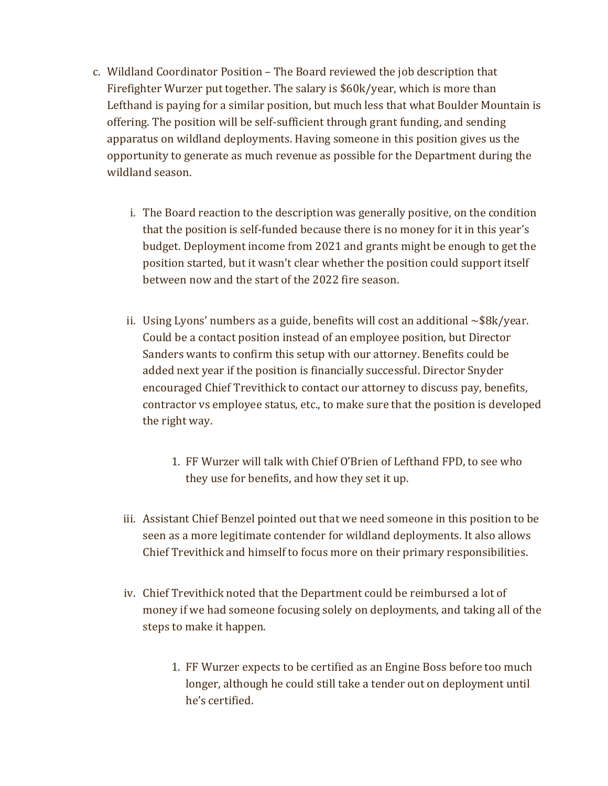- c. Wildland Coordinator Position The Board reviewed the job description that Firefighter Wurzer put together. The salary is \$60k/year, which is more than Lefthand is paying for a similar position, but much less that what Boulder Mountain is offering. The position will be self-sufficient through grant funding, and sending apparatus on wildland deployments. Having someone in this position gives us the opportunity to generate as much revenue as possible for the Department during the wildland season.
	- i. The Board reaction to the description was generally positive, on the condition that the position is self-funded because there is no money for it in this year's budget. Deployment income from 2021 and grants might be enough to get the position started, but it wasn't clear whether the position could support itself between now and the start of the 2022 fire season.
	- ii. Using Lyons' numbers as a guide, benefits will cost an additional  $\sim$ \$8k/year. Could be a contact position instead of an employee position, but Director Sanders wants to confirm this setup with our attorney. Benefits could be added next year if the position is financially successful. Director Snyder encouraged Chief Trevithick to contact our attorney to discuss pay, benefits, contractor vs employee status, etc., to make sure that the position is developed the right way.
		- 1. FF Wurzer will talk with Chief O'Brien of Lefthand FPD, to see who they use for benefits, and how they set it up.
	- iii. Assistant Chief Benzel pointed out that we need someone in this position to be seen as a more legitimate contender for wildland deployments. It also allows Chief Trevithick and himself to focus more on their primary responsibilities.
	- iv. Chief Trevithick noted that the Department could be reimbursed a lot of money if we had someone focusing solely on deployments, and taking all of the steps to make it happen.
		- 1. FF Wurzer expects to be certified as an Engine Boss before too much longer, although he could still take a tender out on deployment until he's certified.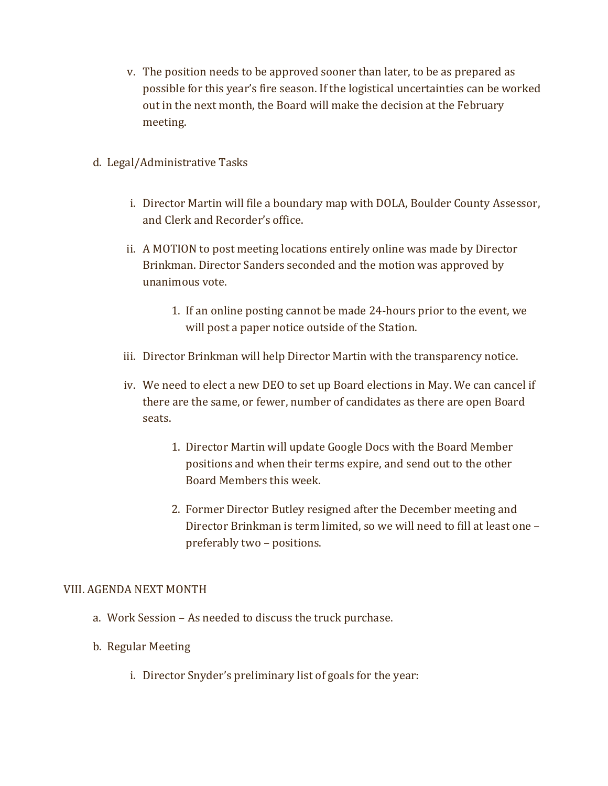- v. The position needs to be approved sooner than later, to be as prepared as possible for this year's fire season. If the logistical uncertainties can be worked out in the next month, the Board will make the decision at the February meeting.
- d. Legal/Administrative Tasks
	- i. Director Martin will file a boundary map with DOLA, Boulder County Assessor, and Clerk and Recorder's office.
	- ii. A MOTION to post meeting locations entirely online was made by Director Brinkman. Director Sanders seconded and the motion was approved by unanimous vote.
		- 1. If an online posting cannot be made 24-hours prior to the event, we will post a paper notice outside of the Station.
	- iii. Director Brinkman will help Director Martin with the transparency notice.
	- iv. We need to elect a new DEO to set up Board elections in May. We can cancel if there are the same, or fewer, number of candidates as there are open Board seats.
		- 1. Director Martin will update Google Docs with the Board Member positions and when their terms expire, and send out to the other Board Members this week.
		- 2. Former Director Butley resigned after the December meeting and Director Brinkman is term limited, so we will need to fill at least one – preferably two – positions.

# VIII. AGENDA NEXT MONTH

- a. Work Session As needed to discuss the truck purchase.
- b. Regular Meeting
	- i. Director Snyder's preliminary list of goals for the year: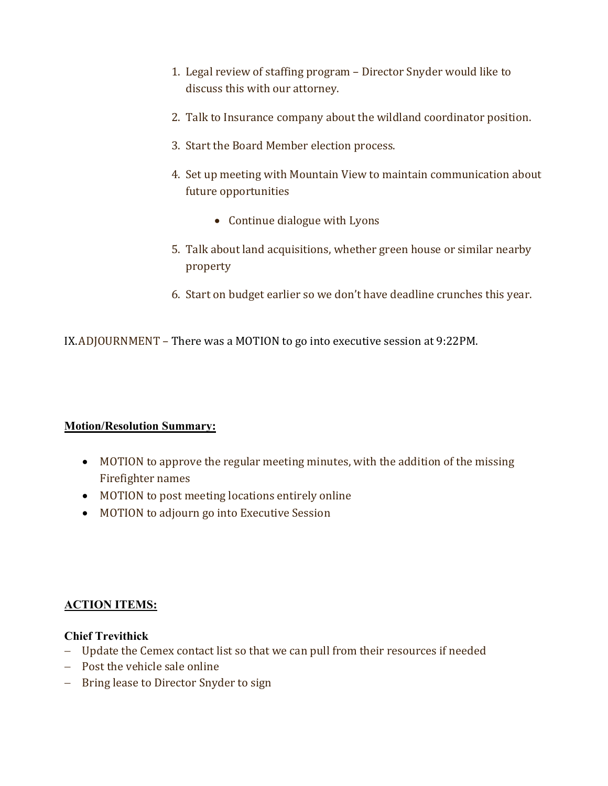- 1. Legal review of staffing program Director Snyder would like to discuss this with our attorney.
- 2. Talk to Insurance company about the wildland coordinator position.
- 3. Start the Board Member election process.
- 4. Set up meeting with Mountain View to maintain communication about future opportunities
	- Continue dialogue with Lyons
- 5. Talk about land acquisitions, whether green house or similar nearby property
- 6. Start on budget earlier so we don't have deadline crunches this year.

IX.ADJOURNMENT – There was a MOTION to go into executive session at 9:22PM.

# Motion/Resolution Summary:

- MOTION to approve the regular meeting minutes, with the addition of the missing Firefighter names
- MOTION to post meeting locations entirely online
- MOTION to adjourn go into Executive Session

# ACTION ITEMS:

# Chief Trevithick

- Update the Cemex contact list so that we can pull from their resources if needed
- Post the vehicle sale online
- Bring lease to Director Snyder to sign